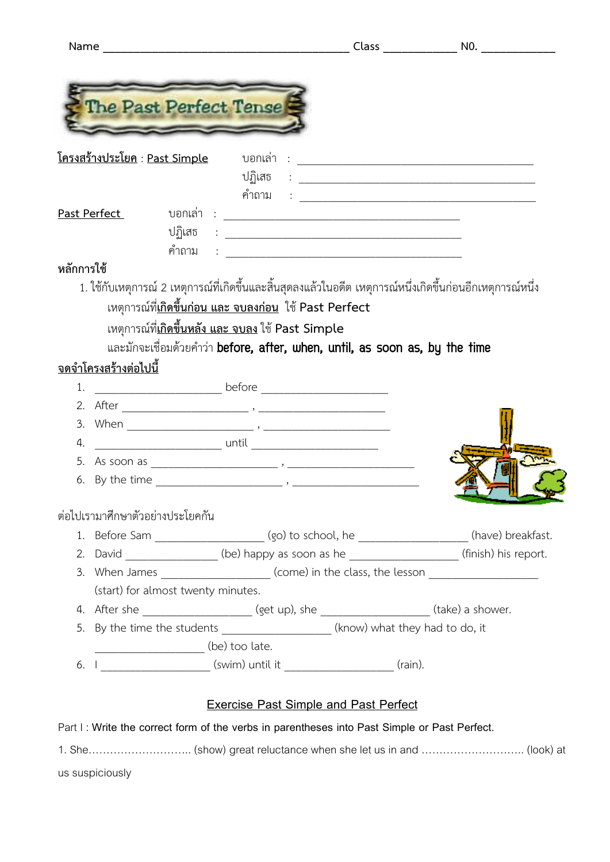|                                       |                                    |                                                                                                             |                                                                                                                        | Class NO. |
|---------------------------------------|------------------------------------|-------------------------------------------------------------------------------------------------------------|------------------------------------------------------------------------------------------------------------------------|-----------|
|                                       |                                    |                                                                                                             |                                                                                                                        |           |
|                                       |                                    |                                                                                                             |                                                                                                                        |           |
|                                       |                                    | The Past Perfect Tense                                                                                      |                                                                                                                        |           |
|                                       |                                    |                                                                                                             |                                                                                                                        |           |
| <u> โครงสร้างประโยค : Past Simple</u> |                                    | ุ บอกเล่า                                                                                                   | $\mathbf{F}^{(i)}$ and $\mathbf{F}^{(i)}$ are all the set of $\mathbf{F}^{(i)}$                                        |           |
|                                       |                                    | ปฏิเสธ                                                                                                      | <u>in the community of the community of the community of the community of the community of the community of the co</u> |           |
|                                       |                                    |                                                                                                             |                                                                                                                        |           |
| Past Perfect<br>ปฏิเสธ                |                                    |                                                                                                             |                                                                                                                        |           |
|                                       | คำถาม                              |                                                                                                             |                                                                                                                        |           |
| หลักการใช้                            |                                    | <u> 1980 - Johann Stein, marwolaethau (b. 1980)</u>                                                         |                                                                                                                        |           |
|                                       |                                    | 1. ใช้กับเหตุการณ์ 2 เหตุการณ์ที่เกิดขึ้นและสิ้นสุดลงแล้วในอดีต เหตุการณ์หนึ่งเกิดขึ้นก่อนอีกเหตุการณ์หนึ่ง |                                                                                                                        |           |
|                                       |                                    | เหตุการณ์ที่ <u>เกิ<b>ดขึ้นก่อน และ จบลงก่อน</b> ใช้</u> Past Perfect                                       |                                                                                                                        |           |
|                                       |                                    | เหตุการณ์ที่ <u>เกิ<mark>ดขึ้นหลัง และ จบลง</mark> ใช้</u> Past Simple                                      |                                                                                                                        |           |
|                                       |                                    | และมักจะเชื่อมด้วยคำว่า before, after, when, until, as soon as, by the time                                 |                                                                                                                        |           |
|                                       |                                    |                                                                                                             |                                                                                                                        |           |
|                                       | <u>จดจำโครงสร้างต่อไปนี้</u>       |                                                                                                             |                                                                                                                        |           |
| 1.                                    |                                    |                                                                                                             |                                                                                                                        |           |
| 3.                                    |                                    |                                                                                                             |                                                                                                                        |           |
| 4.                                    |                                    |                                                                                                             |                                                                                                                        |           |
| 5.                                    |                                    |                                                                                                             |                                                                                                                        |           |
| 6.                                    |                                    |                                                                                                             |                                                                                                                        |           |
|                                       |                                    |                                                                                                             |                                                                                                                        |           |
|                                       | ต่อไปเรามาศึกษาตัวอย่างประโยคกัน   |                                                                                                             |                                                                                                                        |           |
|                                       |                                    | 1. Before Sam _______________________(go) to school, he ____________________(have) breakfast.               |                                                                                                                        |           |
|                                       |                                    | 2. David _______________(be) happy as soon as he _________________(finish) his report.                      |                                                                                                                        |           |
|                                       |                                    | 3. When James ______________________(come) in the class, the lesson ____________                            |                                                                                                                        |           |
|                                       | (start) for almost twenty minutes. |                                                                                                             |                                                                                                                        |           |
|                                       |                                    | 4. After she _____________________(get up), she __________________(take) a shower.                          |                                                                                                                        |           |
|                                       |                                    | 5. By the time the students ___________________(know) what they had to do, it                               |                                                                                                                        |           |
|                                       | (be) too late.                     |                                                                                                             |                                                                                                                        |           |
| 6.                                    |                                    | I _______________________ (swim) until it _________________________ (rain).                                 |                                                                                                                        |           |
|                                       |                                    | <b>Exercise Past Simple and Past Perfect</b>                                                                |                                                                                                                        |           |
|                                       |                                    | Part I: Write the correct form of the verbs in parentheses into Past Simple or Past Perfect.                |                                                                                                                        |           |
|                                       |                                    | 1. She (show) great reluctance when she let us in and  (look) at                                            |                                                                                                                        |           |
|                                       |                                    |                                                                                                             |                                                                                                                        |           |